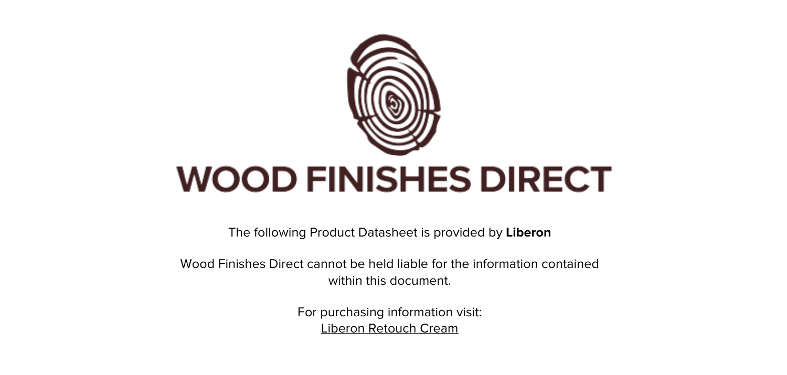

The following Product Datasheet is provided by **Liberon**

Wood Finishes Direct cannot be held liable for the information contained within this document.

> For purchasing information visit: [Liberon Retouch Cream](https://www.wood-finishes-direct.com/product/liberon-retouch-cream)